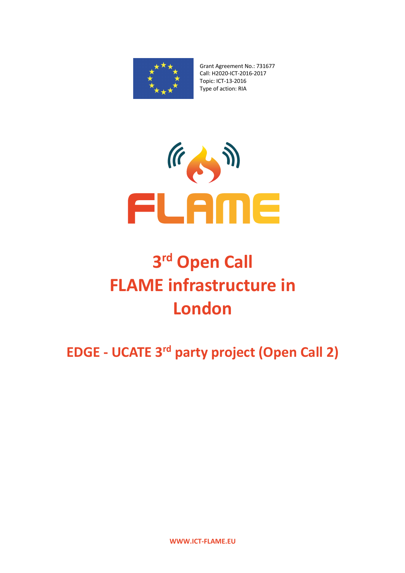

Grant Agreement No.: 731677 Call: H2020-ICT-2016-2017 Topic: ICT-13-2016 Type of action: RIA



## **3rd Open Call FLAME infrastructure in London**

**EDGE - UCATE 3rd party project (Open Call 2)**

**WWW.ICT-FLAME.EU**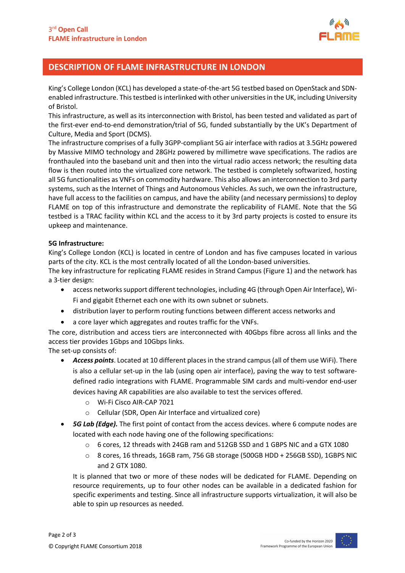

## **DESCRIPTION OF FLAME INFRASTRUCTURE IN LONDON**

King's College London (KCL) has developed a state-of-the-art 5G testbed based on OpenStack and SDNenabled infrastructure. This testbed is interlinked with other universities in the UK, including University of Bristol.

This infrastructure, as well as its interconnection with Bristol, has been tested and validated as part of the first-ever end-to-end demonstration/trial of 5G, funded substantially by the UK's Department of Culture, Media and Sport (DCMS).

The infrastructure comprises of a fully 3GPP-compliant 5G air interface with radios at 3.5GHz powered by Massive MIMO technology and 28GHz powered by millimetre wave specifications. The radios are fronthauled into the baseband unit and then into the virtual radio access network; the resulting data flow is then routed into the virtualized core network. The testbed is completely softwarized, hosting all 5G functionalities as VNFs on commodity hardware. This also allows an interconnection to 3rd party systems, such as the Internet of Things and Autonomous Vehicles. As such, we own the infrastructure, have full access to the facilities on campus, and have the ability (and necessary permissions) to deploy FLAME on top of this infrastructure and demonstrate the replicability of FLAME. Note that the 5G testbed is a TRAC facility within KCL and the access to it by 3rd party projects is costed to ensure its upkeep and maintenance.

## **5G Infrastructure:**

King's College London (KCL) is located in centre of London and has five campuses located in various parts of the city. KCL is the most centrally located of all the London-based universities.

The key infrastructure for replicating FLAME resides in Strand Campus (Figure 1) and the network has a 3-tier design:

- access networks support different technologies, including 4G (through Open Air Interface), Wi-Fi and gigabit Ethernet each one with its own subnet or subnets.
- distribution layer to perform routing functions between different access networks and
- a core layer which aggregates and routes traffic for the VNFs.

The core, distribution and access tiers are interconnected with 40Gbps fibre across all links and the access tier provides 1Gbps and 10Gbps links.

The set-up consists of:

- *Access points*. Located at 10 different places in the strand campus (all of them use WiFi). There is also a cellular set-up in the lab (using open air interface), paving the way to test softwaredefined radio integrations with FLAME. Programmable SIM cards and multi-vendor end-user devices having AR capabilities are also available to test the services offered.
	- o Wi-Fi Cisco AIR-CAP 7021
	- o Cellular (SDR, Open Air Interface and virtualized core)
- *5G Lab (Edge).* The first point of contact from the access devices. where 6 compute nodes are located with each node having one of the following specifications:
	- o 6 cores, 12 threads with 24GB ram and 512GB SSD and 1 GBPS NIC and a GTX 1080
	- o 8 cores, 16 threads, 16GB ram, 756 GB storage (500GB HDD + 256GB SSD), 1GBPS NIC and 2 GTX 1080.

It is planned that two or more of these nodes will be dedicated for FLAME. Depending on resource requirements, up to four other nodes can be available in a dedicated fashion for specific experiments and testing. Since all infrastructure supports virtualization, it will also be able to spin up resources as needed.